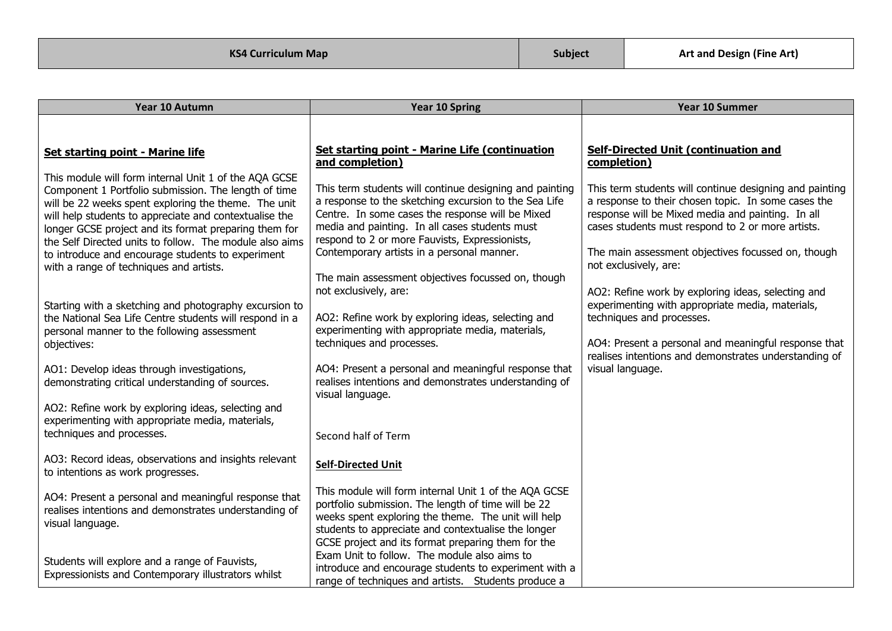| Year 10 Autumn                                                                                                                                                                                                                                                                                                                                                                                                                                      | Year 10 Spring                                                                                                                                                                                                                                                                                                                                                               | Year 10 Summer                                                                                                                                                                                                                                                                                          |
|-----------------------------------------------------------------------------------------------------------------------------------------------------------------------------------------------------------------------------------------------------------------------------------------------------------------------------------------------------------------------------------------------------------------------------------------------------|------------------------------------------------------------------------------------------------------------------------------------------------------------------------------------------------------------------------------------------------------------------------------------------------------------------------------------------------------------------------------|---------------------------------------------------------------------------------------------------------------------------------------------------------------------------------------------------------------------------------------------------------------------------------------------------------|
|                                                                                                                                                                                                                                                                                                                                                                                                                                                     |                                                                                                                                                                                                                                                                                                                                                                              |                                                                                                                                                                                                                                                                                                         |
| <b>Set starting point - Marine life</b>                                                                                                                                                                                                                                                                                                                                                                                                             | Set starting point - Marine Life (continuation<br>and completion)                                                                                                                                                                                                                                                                                                            | <b>Self-Directed Unit (continuation and</b><br>completion)                                                                                                                                                                                                                                              |
| This module will form internal Unit 1 of the AQA GCSE<br>Component 1 Portfolio submission. The length of time<br>will be 22 weeks spent exploring the theme. The unit<br>will help students to appreciate and contextualise the<br>longer GCSE project and its format preparing them for<br>the Self Directed units to follow. The module also aims<br>to introduce and encourage students to experiment<br>with a range of techniques and artists. | This term students will continue designing and painting<br>a response to the sketching excursion to the Sea Life<br>Centre. In some cases the response will be Mixed<br>media and painting. In all cases students must<br>respond to 2 or more Fauvists, Expressionists,<br>Contemporary artists in a personal manner.<br>The main assessment objectives focussed on, though | This term students will continue designing and painting<br>a response to their chosen topic. In some cases the<br>response will be Mixed media and painting. In all<br>cases students must respond to 2 or more artists.<br>The main assessment objectives focussed on, though<br>not exclusively, are: |
| Starting with a sketching and photography excursion to<br>the National Sea Life Centre students will respond in a<br>personal manner to the following assessment<br>objectives:                                                                                                                                                                                                                                                                     | not exclusively, are:<br>AO2: Refine work by exploring ideas, selecting and<br>experimenting with appropriate media, materials,<br>techniques and processes.                                                                                                                                                                                                                 | AO2: Refine work by exploring ideas, selecting and<br>experimenting with appropriate media, materials,<br>techniques and processes.<br>AO4: Present a personal and meaningful response that                                                                                                             |
| AO1: Develop ideas through investigations,<br>demonstrating critical understanding of sources.                                                                                                                                                                                                                                                                                                                                                      | AO4: Present a personal and meaningful response that<br>realises intentions and demonstrates understanding of<br>visual language.                                                                                                                                                                                                                                            | realises intentions and demonstrates understanding of<br>visual language.                                                                                                                                                                                                                               |
| AO2: Refine work by exploring ideas, selecting and<br>experimenting with appropriate media, materials,<br>techniques and processes.                                                                                                                                                                                                                                                                                                                 | Second half of Term                                                                                                                                                                                                                                                                                                                                                          |                                                                                                                                                                                                                                                                                                         |
| AO3: Record ideas, observations and insights relevant<br>to intentions as work progresses.                                                                                                                                                                                                                                                                                                                                                          | <b>Self-Directed Unit</b>                                                                                                                                                                                                                                                                                                                                                    |                                                                                                                                                                                                                                                                                                         |
| AO4: Present a personal and meaningful response that<br>realises intentions and demonstrates understanding of<br>visual language.                                                                                                                                                                                                                                                                                                                   | This module will form internal Unit 1 of the AQA GCSE<br>portfolio submission. The length of time will be 22<br>weeks spent exploring the theme. The unit will help<br>students to appreciate and contextualise the longer                                                                                                                                                   |                                                                                                                                                                                                                                                                                                         |
| Students will explore and a range of Fauvists,<br>Expressionists and Contemporary illustrators whilst                                                                                                                                                                                                                                                                                                                                               | GCSE project and its format preparing them for the<br>Exam Unit to follow. The module also aims to<br>introduce and encourage students to experiment with a<br>range of techniques and artists. Students produce a                                                                                                                                                           |                                                                                                                                                                                                                                                                                                         |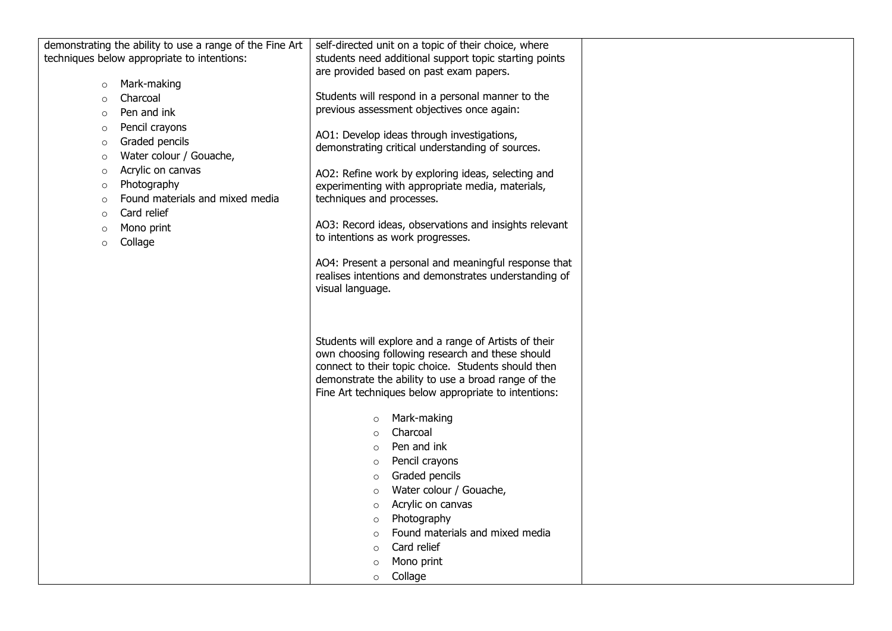|         |                                             | demonstrating the ability to use a range of the Fine Art $\vert$ self-directed unit on a topic of their choice, where |  |
|---------|---------------------------------------------|-----------------------------------------------------------------------------------------------------------------------|--|
|         | techniques below appropriate to intentions: | students need additional support topic starting points                                                                |  |
|         |                                             | are provided based on past exam papers.                                                                               |  |
| $\circ$ | Mark-making                                 |                                                                                                                       |  |
| $\circ$ | Charcoal                                    | Students will respond in a personal manner to the                                                                     |  |
| $\circ$ | Pen and ink                                 | previous assessment objectives once again:                                                                            |  |
| $\circ$ | Pencil crayons                              | AO1: Develop ideas through investigations,                                                                            |  |
| $\circ$ | Graded pencils                              | demonstrating critical understanding of sources.                                                                      |  |
| $\circ$ | Water colour / Gouache,                     |                                                                                                                       |  |
| $\circ$ | Acrylic on canvas                           | AO2: Refine work by exploring ideas, selecting and                                                                    |  |
| $\circ$ | Photography                                 | experimenting with appropriate media, materials,                                                                      |  |
| $\circ$ | Found materials and mixed media             | techniques and processes.                                                                                             |  |
| $\circ$ | Card relief                                 |                                                                                                                       |  |
| $\circ$ | Mono print                                  | AO3: Record ideas, observations and insights relevant                                                                 |  |
| $\circ$ | Collage                                     | to intentions as work progresses.                                                                                     |  |
|         |                                             | AO4: Present a personal and meaningful response that                                                                  |  |
|         |                                             | realises intentions and demonstrates understanding of                                                                 |  |
|         |                                             | visual language.                                                                                                      |  |
|         |                                             |                                                                                                                       |  |
|         |                                             |                                                                                                                       |  |
|         |                                             |                                                                                                                       |  |
|         |                                             | Students will explore and a range of Artists of their                                                                 |  |
|         |                                             | own choosing following research and these should                                                                      |  |
|         |                                             | connect to their topic choice. Students should then                                                                   |  |
|         |                                             | demonstrate the ability to use a broad range of the                                                                   |  |
|         |                                             | Fine Art techniques below appropriate to intentions:                                                                  |  |
|         |                                             | Mark-making                                                                                                           |  |
|         |                                             | $\circ$<br>Charcoal                                                                                                   |  |
|         |                                             | $\circ$                                                                                                               |  |
|         |                                             | Pen and ink<br>$\circ$                                                                                                |  |
|         |                                             | Pencil crayons<br>$\circ$                                                                                             |  |
|         |                                             | Graded pencils<br>$\circ$                                                                                             |  |
|         |                                             | Water colour / Gouache,<br>$\circ$                                                                                    |  |
|         |                                             | Acrylic on canvas<br>$\circ$                                                                                          |  |
|         |                                             | Photography<br>$\circ$                                                                                                |  |
|         |                                             | Found materials and mixed media<br>$\circ$                                                                            |  |
|         |                                             | Card relief<br>$\circ$                                                                                                |  |
|         |                                             | Mono print<br>$\circ$                                                                                                 |  |
|         |                                             | Collage<br>$\circ$                                                                                                    |  |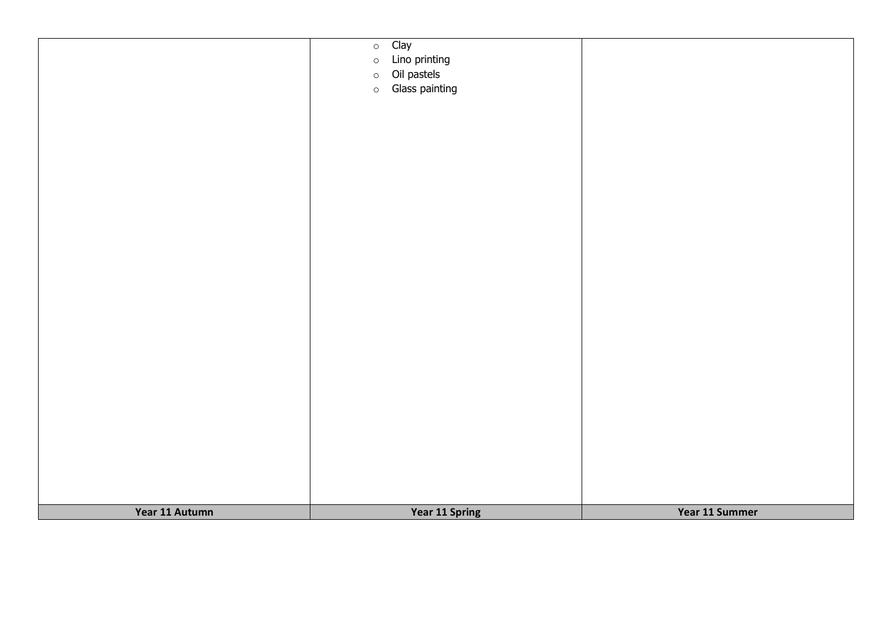|                | Clay<br>$\circ$<br>Lino printing  |                |
|----------------|-----------------------------------|----------------|
|                | $\circ$<br>Oil pastels<br>$\circ$ |                |
|                | Glass painting<br>$\circ$         |                |
|                |                                   |                |
|                |                                   |                |
|                |                                   |                |
|                |                                   |                |
|                |                                   |                |
|                |                                   |                |
|                |                                   |                |
|                |                                   |                |
|                |                                   |                |
|                |                                   |                |
|                |                                   |                |
|                |                                   |                |
|                |                                   |                |
|                |                                   |                |
|                |                                   |                |
|                |                                   |                |
|                |                                   |                |
|                |                                   |                |
|                |                                   |                |
|                |                                   |                |
|                |                                   |                |
|                |                                   |                |
| Year 11 Autumn | <b>Year 11 Spring</b>             | Year 11 Summer |